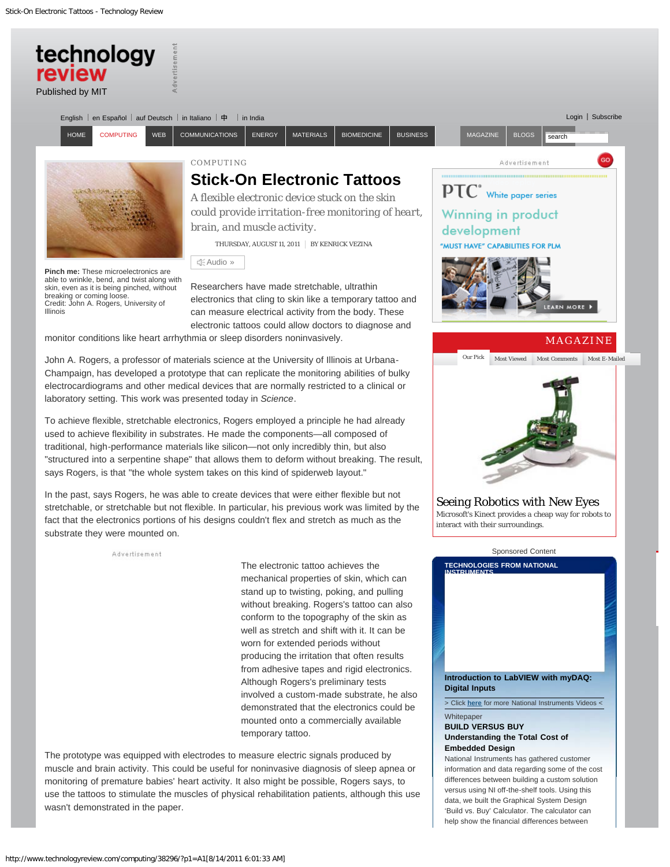<span id="page-0-0"></span>

## **BUILD VERSUS BUY Understanding the Total Cost of Embedded Design**

National Instruments has gathered customer information and data regarding some of the cost differences between building a custom solution versus using NI off-the-shelf tools. Using this data, we built the Graphical System Design 'Build vs. Buy' Calculator. The calculator can help show the financial differences between

mounted onto a commercially available temporary tattoo.

The prototype was equipped with electrodes to measure electric signals produced by muscle and brain activity. This could be useful for noninvasive diagnosis of sleep apnea or monitoring of premature babies' heart activity. It also might be possible, Rogers says, to use the tattoos to stimulate the muscles of physical rehabilitation patients, although this use wasn't demonstrated in the paper.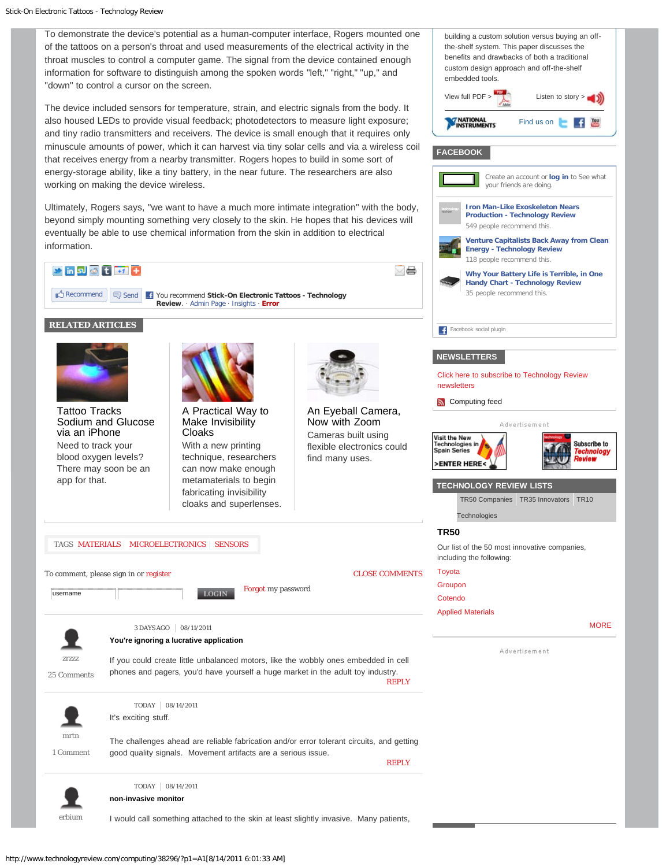To demonstrate the device's potential as a human-computer interface, Rogers mounted one of the tattoos on a person's throat and used measurements of the electrical activity in the throat muscles to control a computer game. The signal from the device contained enough information for software to distinguish among the spoken words "left," "right," "up," and "down" to control a cursor on the screen.

View full  $PDF >$  Listen to story >

your friends are doing.

**[Iron Man-Like Exoskeleton Nears](http://www.technologyreview.com/blog/helloworld/27055/?fb_ref=article) [Production - Technology Review](http://www.technologyreview.com/blog/helloworld/27055/?fb_ref=article)** 549 people recommend this.

building a custom solution versus buying an offthe-shelf system. This paper discusses the benefits and drawbacks of both a traditional custom design approach and off-the-shelf

**FACEBOOK**

embedded tools.

**NATIONAL**<br>INSTRUMENTS

Find us on **Fig.** 

Create an account or **log in** to See what

**[Venture Capitalists Back Away from Clean](http://www.technologyreview.com/energy/38295/?fb_ref=article)**

**[MORE](http://www.technologyreview.com/tr50/)** 

Subscribe to

The device included sensors for temperature, strain, and electric signals from the body. It also housed LEDs to provide visual feedback; photodetectors to measure light exposure; and tiny radio transmitters and receivers. The device is small enough that it requires only minuscule amounts of power, which it can harvest via tiny solar cells and via a wireless coil that receives energy from a nearby transmitter. Rogers hopes to build in some sort of energy-storage ability, like a tiny battery, in the near future. The researchers are also working on making the device wireless*.*

<span id="page-1-0"></span>Ultimately, Rogers says, "we want to have a much more intimate integration" with the body, beyond simply mounting something very closely to the skin. He hopes that his devices will eventually be able to use chemical information from the skin in addition to electrical information.